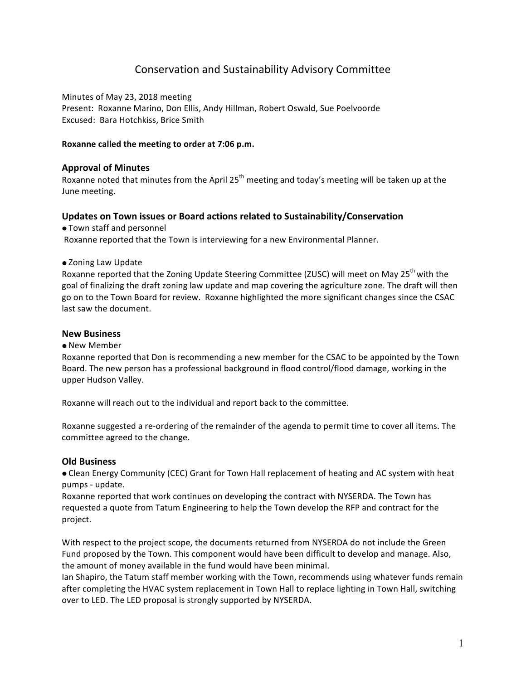# Conservation and Sustainability Advisory Committee

Minutes of May 23, 2018 meeting Present: Roxanne Marino, Don Ellis, Andy Hillman, Robert Oswald, Sue Poelvoorde Excused: Bara Hotchkiss, Brice Smith

# **Roxanne called the meeting to order at 7:06 p.m.**

# **Approval of Minutes**

Roxanne noted that minutes from the April  $25<sup>th</sup>$  meeting and today's meeting will be taken up at the June meeting.

# **Updates on Town issues or Board actions related to Sustainability/Conservation**

• Town staff and personnel

Roxanne reported that the Town is interviewing for a new Environmental Planner.

• Zoning Law Update

Roxanne reported that the Zoning Update Steering Committee (ZUSC) will meet on May 25<sup>th</sup> with the goal of finalizing the draft zoning law update and map covering the agriculture zone. The draft will then go on to the Town Board for review. Roxanne highlighted the more significant changes since the CSAC last saw the document.

# **New Business**

#### • New Member

Roxanne reported that Don is recommending a new member for the CSAC to be appointed by the Town Board. The new person has a professional background in flood control/flood damage, working in the upper Hudson Valley.

Roxanne will reach out to the individual and report back to the committee.

Roxanne suggested a re-ordering of the remainder of the agenda to permit time to cover all items. The committee agreed to the change.

#### **Old Business**

• Clean Energy Community (CEC) Grant for Town Hall replacement of heating and AC system with heat pumps - update.

Roxanne reported that work continues on developing the contract with NYSERDA. The Town has requested a quote from Tatum Engineering to help the Town develop the RFP and contract for the project. 

With respect to the project scope, the documents returned from NYSERDA do not include the Green Fund proposed by the Town. This component would have been difficult to develop and manage. Also, the amount of money available in the fund would have been minimal.

Ian Shapiro, the Tatum staff member working with the Town, recommends using whatever funds remain after completing the HVAC system replacement in Town Hall to replace lighting in Town Hall, switching over to LED. The LED proposal is strongly supported by NYSERDA.